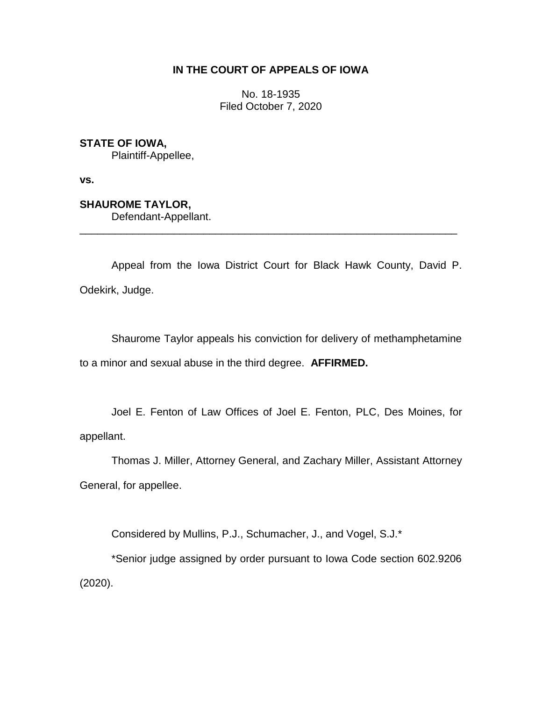# **IN THE COURT OF APPEALS OF IOWA**

No. 18-1935 Filed October 7, 2020

**STATE OF IOWA,**

Plaintiff-Appellee,

**vs.**

**SHAUROME TAYLOR,**

Defendant-Appellant.

Appeal from the Iowa District Court for Black Hawk County, David P. Odekirk, Judge.

\_\_\_\_\_\_\_\_\_\_\_\_\_\_\_\_\_\_\_\_\_\_\_\_\_\_\_\_\_\_\_\_\_\_\_\_\_\_\_\_\_\_\_\_\_\_\_\_\_\_\_\_\_\_\_\_\_\_\_\_\_\_\_\_

Shaurome Taylor appeals his conviction for delivery of methamphetamine to a minor and sexual abuse in the third degree. **AFFIRMED.**

Joel E. Fenton of Law Offices of Joel E. Fenton, PLC, Des Moines, for appellant.

Thomas J. Miller, Attorney General, and Zachary Miller, Assistant Attorney General, for appellee.

Considered by Mullins, P.J., Schumacher, J., and Vogel, S.J.\*

\*Senior judge assigned by order pursuant to Iowa Code section 602.9206 (2020).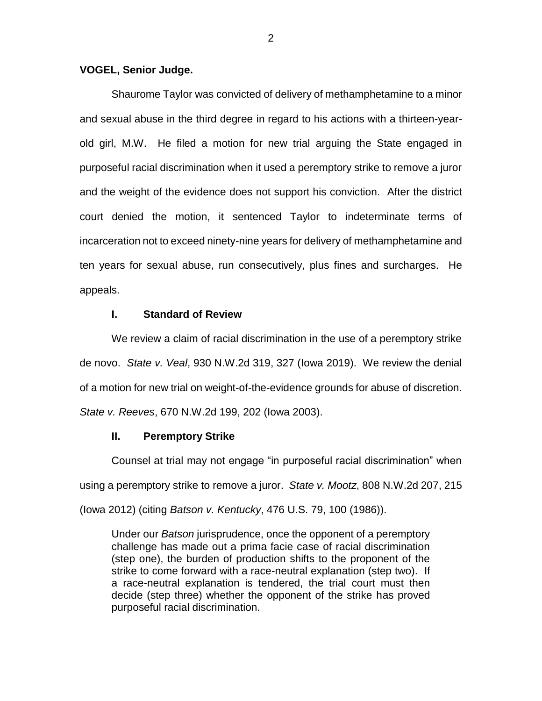### **VOGEL, Senior Judge.**

Shaurome Taylor was convicted of delivery of methamphetamine to a minor and sexual abuse in the third degree in regard to his actions with a thirteen-yearold girl, M.W. He filed a motion for new trial arguing the State engaged in purposeful racial discrimination when it used a peremptory strike to remove a juror and the weight of the evidence does not support his conviction. After the district court denied the motion, it sentenced Taylor to indeterminate terms of incarceration not to exceed ninety-nine years for delivery of methamphetamine and ten years for sexual abuse, run consecutively, plus fines and surcharges. He appeals.

### **I. Standard of Review**

We review a claim of racial discrimination in the use of a peremptory strike de novo. *State v. Veal*, 930 N.W.2d 319, 327 (Iowa 2019).We review the denial of a motion for new trial on weight-of-the-evidence grounds for abuse of discretion. *State v. Reeves*, 670 N.W.2d 199, 202 (Iowa 2003).

### **II. Peremptory Strike**

Counsel at trial may not engage "in purposeful racial discrimination" when using a peremptory strike to remove a juror. *State v. Mootz*, 808 N.W.2d 207, 215 (Iowa 2012) (citing *Batson v. Kentucky*, 476 U.S. 79, 100 (1986)).

Under our *Batson* jurisprudence, once the opponent of a peremptory challenge has made out a prima facie case of racial discrimination (step one), the burden of production shifts to the proponent of the strike to come forward with a race-neutral explanation (step two). If a race-neutral explanation is tendered, the trial court must then decide (step three) whether the opponent of the strike has proved purposeful racial discrimination.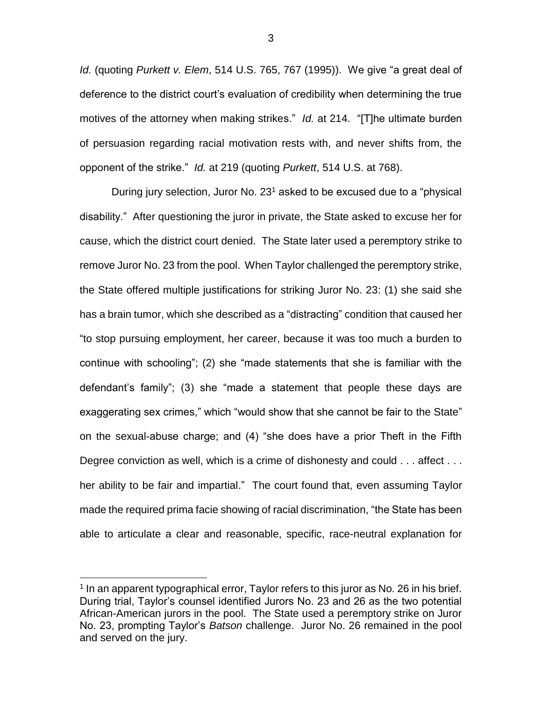*Id.* (quoting *Purkett v. Elem*, 514 U.S. 765, 767 (1995)). We give "a great deal of deference to the district court's evaluation of credibility when determining the true motives of the attorney when making strikes." *Id.* at 214. "[T]he ultimate burden of persuasion regarding racial motivation rests with, and never shifts from, the opponent of the strike." *Id.* at 219 (quoting *Purkett*, 514 U.S. at 768).

During jury selection, Juror No.  $23<sup>1</sup>$  asked to be excused due to a "physical disability." After questioning the juror in private, the State asked to excuse her for cause, which the district court denied. The State later used a peremptory strike to remove Juror No. 23 from the pool. When Taylor challenged the peremptory strike, the State offered multiple justifications for striking Juror No. 23: (1) she said she has a brain tumor, which she described as a "distracting" condition that caused her "to stop pursuing employment, her career, because it was too much a burden to continue with schooling"; (2) she "made statements that she is familiar with the defendant's family"; (3) she "made a statement that people these days are exaggerating sex crimes," which "would show that she cannot be fair to the State" on the sexual-abuse charge; and (4) "she does have a prior Theft in the Fifth Degree conviction as well, which is a crime of dishonesty and could . . . affect . . . her ability to be fair and impartial." The court found that, even assuming Taylor made the required prima facie showing of racial discrimination, "the State has been able to articulate a clear and reasonable, specific, race-neutral explanation for

 $\overline{a}$ 

<sup>&</sup>lt;sup>1</sup> In an apparent typographical error, Taylor refers to this juror as No. 26 in his brief. During trial, Taylor's counsel identified Jurors No. 23 and 26 as the two potential African-American jurors in the pool. The State used a peremptory strike on Juror No. 23, prompting Taylor's *Batson* challenge. Juror No. 26 remained in the pool and served on the jury.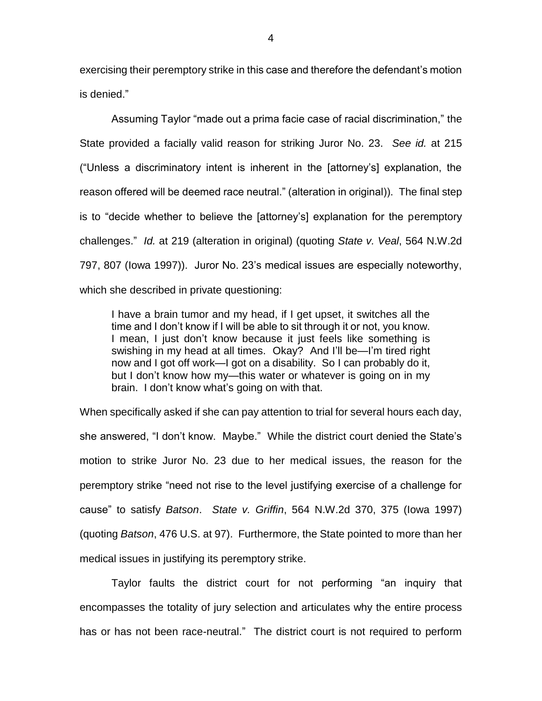exercising their peremptory strike in this case and therefore the defendant's motion is denied."

Assuming Taylor "made out a prima facie case of racial discrimination," the State provided a facially valid reason for striking Juror No. 23. *See id.* at 215 ("Unless a discriminatory intent is inherent in the [attorney's] explanation, the reason offered will be deemed race neutral." (alteration in original)). The final step is to "decide whether to believe the [attorney's] explanation for the peremptory challenges." *Id.* at 219 (alteration in original) (quoting *State v. Veal*, 564 N.W.2d 797, 807 (Iowa 1997)). Juror No. 23's medical issues are especially noteworthy, which she described in private questioning:

I have a brain tumor and my head, if I get upset, it switches all the time and I don't know if I will be able to sit through it or not, you know. I mean, I just don't know because it just feels like something is swishing in my head at all times. Okay? And I'll be—I'm tired right now and I got off work—I got on a disability. So I can probably do it, but I don't know how my—this water or whatever is going on in my brain. I don't know what's going on with that.

When specifically asked if she can pay attention to trial for several hours each day, she answered, "I don't know. Maybe." While the district court denied the State's motion to strike Juror No. 23 due to her medical issues, the reason for the peremptory strike "need not rise to the level justifying exercise of a challenge for cause" to satisfy *Batson*. *State v. Griffin*, 564 N.W.2d 370, 375 (Iowa 1997) (quoting *Batson*, 476 U.S. at 97). Furthermore, the State pointed to more than her medical issues in justifying its peremptory strike.

Taylor faults the district court for not performing "an inquiry that encompasses the totality of jury selection and articulates why the entire process has or has not been race-neutral." The district court is not required to perform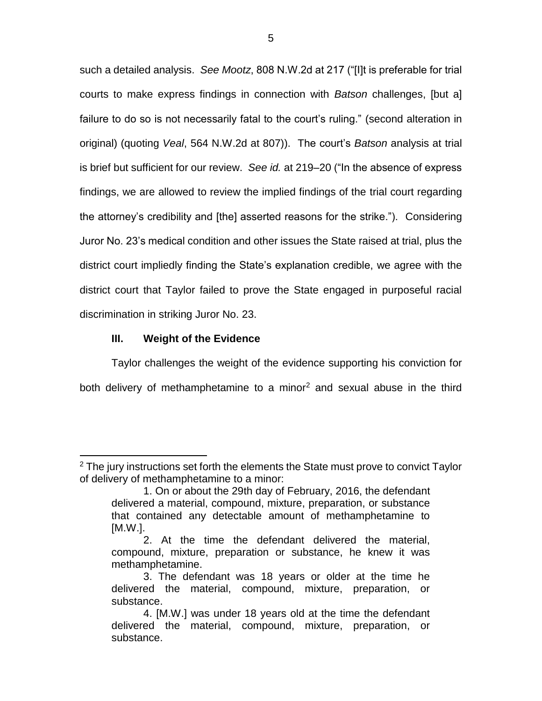such a detailed analysis. *See Mootz*, 808 N.W.2d at 217 ("[I]t is preferable for trial courts to make express findings in connection with *Batson* challenges, [but a] failure to do so is not necessarily fatal to the court's ruling." (second alteration in original) (quoting *Veal*, 564 N.W.2d at 807)). The court's *Batson* analysis at trial is brief but sufficient for our review. *See id.* at 219–20 ("In the absence of express findings, we are allowed to review the implied findings of the trial court regarding the attorney's credibility and [the] asserted reasons for the strike."). Considering Juror No. 23's medical condition and other issues the State raised at trial, plus the district court impliedly finding the State's explanation credible, we agree with the district court that Taylor failed to prove the State engaged in purposeful racial discrimination in striking Juror No. 23.

# **III. Weight of the Evidence**

 $\overline{a}$ 

Taylor challenges the weight of the evidence supporting his conviction for both delivery of methamphetamine to a minor<sup>2</sup> and sexual abuse in the third

 $2$  The jury instructions set forth the elements the State must prove to convict Taylor of delivery of methamphetamine to a minor:

<sup>1.</sup> On or about the 29th day of February, 2016, the defendant delivered a material, compound, mixture, preparation, or substance that contained any detectable amount of methamphetamine to [M.W.].

<sup>2.</sup> At the time the defendant delivered the material, compound, mixture, preparation or substance, he knew it was methamphetamine.

<sup>3.</sup> The defendant was 18 years or older at the time he delivered the material, compound, mixture, preparation, or substance.

<sup>4. [</sup>M.W.] was under 18 years old at the time the defendant delivered the material, compound, mixture, preparation, or substance.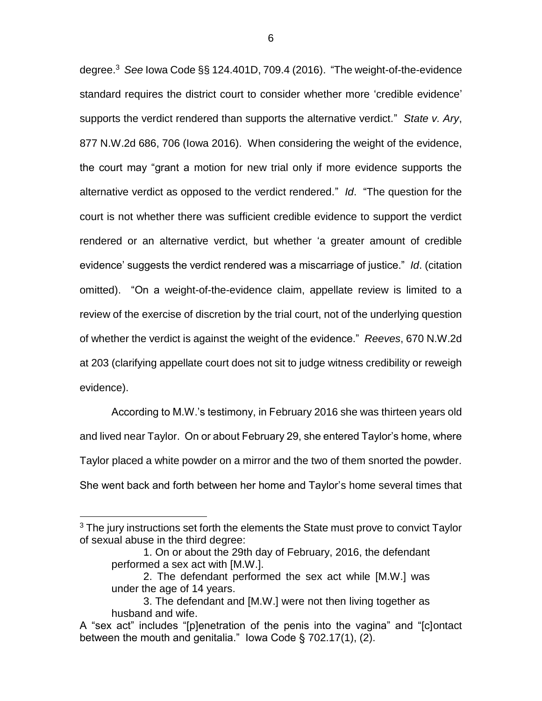degree.<sup>3</sup> *See* Iowa Code §§ 124.401D, 709.4 (2016). "The weight-of-the-evidence standard requires the district court to consider whether more 'credible evidence' supports the verdict rendered than supports the alternative verdict." *State v. Ary*, 877 N.W.2d 686, 706 (Iowa 2016). When considering the weight of the evidence, the court may "grant a motion for new trial only if more evidence supports the alternative verdict as opposed to the verdict rendered." *Id*. "The question for the court is not whether there was sufficient credible evidence to support the verdict rendered or an alternative verdict, but whether 'a greater amount of credible evidence' suggests the verdict rendered was a miscarriage of justice." *Id*. (citation omitted). "On a weight-of-the-evidence claim, appellate review is limited to a review of the exercise of discretion by the trial court, not of the underlying question of whether the verdict is against the weight of the evidence." *Reeves*, 670 N.W.2d at 203 (clarifying appellate court does not sit to judge witness credibility or reweigh evidence).

According to M.W.'s testimony, in February 2016 she was thirteen years old and lived near Taylor. On or about February 29, she entered Taylor's home, where Taylor placed a white powder on a mirror and the two of them snorted the powder. She went back and forth between her home and Taylor's home several times that

 $\overline{a}$ 

<sup>&</sup>lt;sup>3</sup> The jury instructions set forth the elements the State must prove to convict Taylor of sexual abuse in the third degree:

<sup>1.</sup> On or about the 29th day of February, 2016, the defendant performed a sex act with [M.W.].

<sup>2.</sup> The defendant performed the sex act while [M.W.] was under the age of 14 years.

<sup>3.</sup> The defendant and [M.W.] were not then living together as husband and wife.

A "sex act" includes "[p]enetration of the penis into the vagina" and "[c]ontact between the mouth and genitalia." Iowa Code § 702.17(1), (2).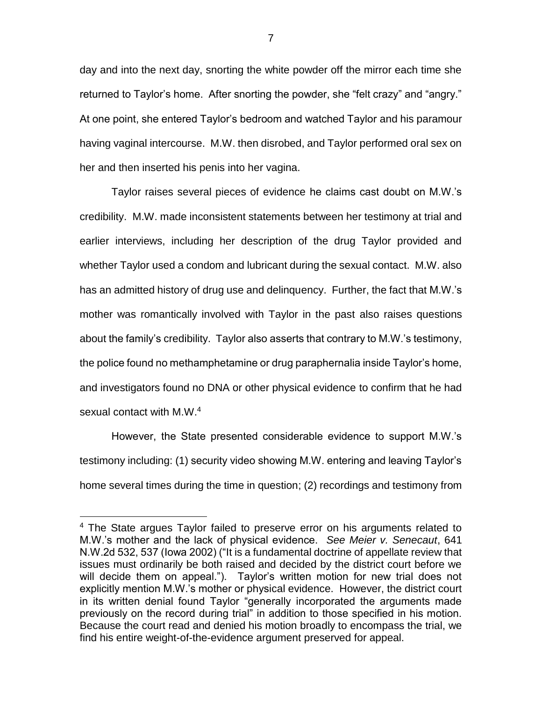day and into the next day, snorting the white powder off the mirror each time she returned to Taylor's home. After snorting the powder, she "felt crazy" and "angry." At one point, she entered Taylor's bedroom and watched Taylor and his paramour having vaginal intercourse. M.W. then disrobed, and Taylor performed oral sex on her and then inserted his penis into her vagina.

Taylor raises several pieces of evidence he claims cast doubt on M.W.'s credibility. M.W. made inconsistent statements between her testimony at trial and earlier interviews, including her description of the drug Taylor provided and whether Taylor used a condom and lubricant during the sexual contact. M.W. also has an admitted history of drug use and delinquency. Further, the fact that M.W.'s mother was romantically involved with Taylor in the past also raises questions about the family's credibility. Taylor also asserts that contrary to M.W.'s testimony, the police found no methamphetamine or drug paraphernalia inside Taylor's home, and investigators found no DNA or other physical evidence to confirm that he had sexual contact with M.W.<sup>4</sup>

However, the State presented considerable evidence to support M.W.'s testimony including: (1) security video showing M.W. entering and leaving Taylor's home several times during the time in question; (2) recordings and testimony from

 $\overline{a}$ 

<sup>&</sup>lt;sup>4</sup> The State argues Taylor failed to preserve error on his arguments related to M.W.'s mother and the lack of physical evidence. *See Meier v. Senecaut*, 641 N.W.2d 532, 537 (Iowa 2002) ("It is a fundamental doctrine of appellate review that issues must ordinarily be both raised and decided by the district court before we will decide them on appeal."). Taylor's written motion for new trial does not explicitly mention M.W.'s mother or physical evidence. However, the district court in its written denial found Taylor "generally incorporated the arguments made previously on the record during trial" in addition to those specified in his motion. Because the court read and denied his motion broadly to encompass the trial, we find his entire weight-of-the-evidence argument preserved for appeal.